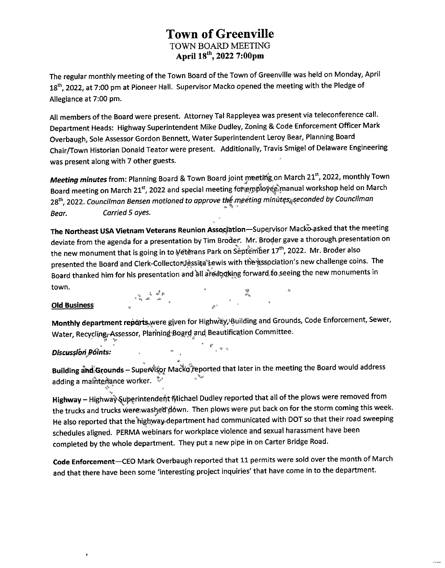The regular monthly meeting of the Town Board of the Town of Greenville was held on Monday, April 18<sup>th</sup>, 2022, at 7:00 pm at Pioneer Hall. Supervisor Macko opened the meeting with the Pledge of Allegiance at 7:00 pm.

All members ofthe Board were present. Attorney Tal Rappleyea was present via teleconference call. Department Heads: Highway Superintendent Mike Dudley, Zoning & Code Enforcement Officer Mark Overbaugh, Sole Assessor Gordon Bennett, Water Superintendent Leroy Bear, Planning Board Chair/Town Historian Donald Teator were present. Additionally, Travis Smigel of Delaware Engineering was present along with 7 other guests.

*Meeting minutes* from: Planning Board & Town Board joint meeting on March 21st, 2022, monthly Town Board meeting on March 21st, 2022 and special meeting for employe imanual workshop held on March 28th 2022 *Councilman Bensen motioned to approve the meeting minutes^seconded by Councilman \** Aft \* *Bear. Carried5 ayes.*

**The Northeast USA Vietnam Veterans Reunion Association—**Supervisor Macko\*aSked that the meeting deviate from the agenda for a presentation by Tim Broder. Mr. Broder gave a thorough presentation on the new monument that is going in to Veterans Park on September 17th, 2022. Mr. Broder also presented the Board and Clerk-Collector Lessica Lewis with the association's new challenge coins. The Board thanked him for his presentation and all ated booking forward to seeing the new monuments in town.  $\qquad \qquad \qquad \qquad \qquad \ldots$ 

**4 ii>it**

#### **Old Business " "**

**Monthly department reports, were given for Highway, Building and Grounds, Code Enforcement, Sewer,** Water, Recycling, Assessor, Planning Board and Beautification Committee.<br>-

#### . The contract of the contract of the contract of the contract of  $\mathbb{R}^3$ *Discussion Points:*

**Building ahd'Gtounds** -**SupeA%r Macfejjteported** that later in the meeting the Board would address adding a maintenance worker.  $\sqrt[n]{x}$ 

 $\mathcal{R}^{\mathrm{S}}$  (  $\mathcal{R}^{\mathrm{S}}$  )  $\mathcal{R}^{\mathrm{S}}$ 

Highway - Highway<sup>-</sup> Superintendent Michael Dudley reported that all of the plows were removed from the trucks and trucks were washed down. Then plows were put back on for the storm coming this week. He also reported that the'highway department had communicated with DOT so that their road sweeping schedules aligned. PERMA webinars for workplace violence and sexual harassment have been completed by the whole department. They put a new pipe in on Carter Bridge Road.

**Code Enforcement—**CEO Mark Overbaugh reported that 11 permits were sold over the month of March and that there have been some 'interesting project inquiries' that have come in to the department.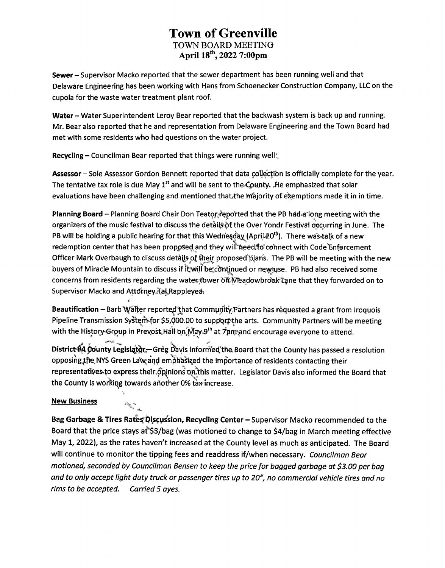**Sewer-Supervisor Macko reported that the sewer department has been running well and that Delaware Engineering has been working with Hans from Schoenecker Construction Company, LLC on the cupola for the waste water treatment plant roof.**

**Water-Water Superintendent Leroy Bear reported that the backwash system is back up and running. Mr. Bear also reported that he and representation from Delaware Engineering and the Town Board had met with some residents who had questions on the water project.**

**Recycling - Councilman Bear reported that things were running well:,**

**Assessor -Sole Assessor Gordon Bennett reported that data collecfibn is officially complete for the year. The tentative tax role is due May 1st and will be sent to the^pupty. ,He emphasized that solar evaluations have been challenging and mentioned thatthe tm'ajority of exemptions made it in in time.**

**Planning Board - Planning Board Chair Don Teatpr/qpo'rted that the PB had <sup>a</sup> long meeting with the organizers of the music festival to discuss the detai(§ipf the Over Yondr Festival occurring in June. The PB will be holding a public hearing for that this Wedne§c^(Aprij..20tl:'). There was4a(k of a new redemption center that has been proppsed and they will'fieedTo' connect with Code'Enforcement** Officer Mark Overbaugh to discuss details of their proposed plans. The PB will be meeting with the new<br>buyers of Miracle Mountain to discuss if thwill be continued or newsuse. PB had also received some **buyers of Miracle Mountain to discuss if it will be\*cbnt|nued or newiyse. PB had also received some concerns** from residents regarding the water tower on Meadowbrook tane that they forwarded on to **Supervisor Macko and Attorney.TaL,Rappleyea^**

**Beautification - Barb'Wilier reportedthat CommynltyPartners has requested <sup>a</sup> grant from Iroquois Pipeline Transmission SystenVfor \$5,(J)G0.p0 to suppprfithe arts. Community Partners will be meeting with the History Group in Prevost Hall on May 9<sup>th</sup> at 7pm and encourage everyone to attend.** 

**District^}, County Legislptpr—Greg Davis informed the,Board that the County has passed a resolution opposing,jtfte, NYS Green LaWand emphasized the importance of residents contacting their representaftye&4o express theinopinionsoiilibis matter. Legislator Davis also informed the Board that the County is working towards ahother 0% tax increase.**

#### **New Business**

 $\epsilon_{\rho} \delta^x_{\rho}$  ,  $\epsilon$ 

**Bag Garbage & Tires Rates Discussion, Recycling Center - Supervisor Macko recommended to the Board that the price stays aT\$3/bag (was motioned to change to \$4/bag in March meeting effective May 1, 2022), as the rates haven't increased at the County level as much as anticipated. The Board will continue to monitor the tipping fees and readdress if/when necessary.** *Councilman Bear motioned, seconded by Councilman Bensen to keep the price for bagged garbage at \$3.00 per bag and to only accept light duty truck or passenger tires up to 20", no commercial vehicle tires and no rims to be accepted. Carried 5 ayes.*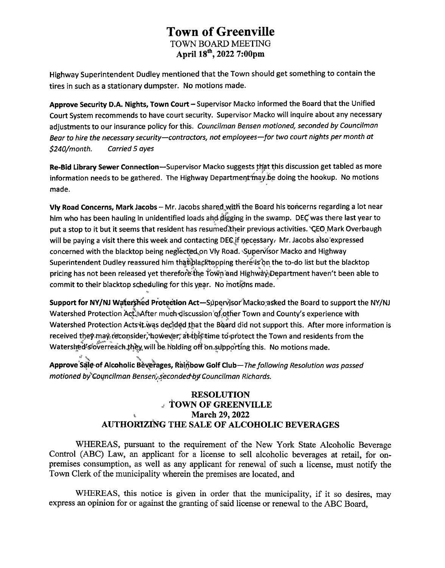Highway Superintendent Dudley mentioned that the Town should get something to contain the tires in such as a stationary dumpster. No motions made.

Approve Security D.A. Nights, Town Court - Supervisor Macko informed the Board that the Unified Court System recommends to have court security. Supervisor Macko will inquire about any necessary adjustments to our insurance policy for this. *Councilman Bensen motioned, seconded by Councilman Bear to hire the necessary security—contractors, not employees—for two court nights per month at \$240/month. Carried 5 ayes*

Re-Bid Library Sewer Connection—Supervisor Macko suggests that this discussion get tabled as more information needs to be gathered. The Highway Department may be doing the hookup. No motions made.

Vly Road Concerns, Mark Jacobs - Mr. Jacobs shared with the Board his concerns regarding a lot near him who has been hauling in unidentified loads and digging in the swamp. DEC was there last year to put a stop to it but it seems that resident has resumed their previous activities. "CEO Mark Overbaugh will be paying a visit there this week and contacting DEC if necessary. Mr. Jacobs also expressed concerned with the blacktop being neglected on Vly Road. Supervisor Macko and Highway Superintendent Dudley reassured him that blacktopping there is on the to-do list but the blacktop pricing has not been released yet therefore the Town and Highway Department haven't been able to commit to their blacktop scheduling for this year. No motions made.

Support for NY/NJ Watershed Protection Act—Supervjsor Macko asked the Board to support the NY/NJ Watershed Protection Act. After much discussion of other Town and County's experience with Watershed Protection Acts it was decided that the Board did not support this. After more information is received they may reconsider, however, at this time to protect the Town and residents from the Watershed's overreach they will be holding off on supporting this. No motions made.

*f* \ \ <sup>v</sup> , <sup>v</sup> Approve Salg of Alcoholic Beverages, Rainbow Golf Club*—The following Resolution was passed motioned by'Councilman Bensen,,seconded by Councilman Richards.*

#### **RESOLUTION \* fOWN OF GREENVILLE \* March 29,2022 AUTHORIZING THE SALE OF ALCOHOLIC BEVERAGES**

**WHEREAS, pursuant to the requirement of the New York State Alcoholic Beverage Control (ABC) Law, an applicant for a license to sell alcoholic beverages at retail, for onpremises consumption, as well as any applicant for renewal of such a license, must notify the Town Clerk ofthe municipality wherein the premises are located, and**

**WHEREAS, this notice is given in order that the municipality, if it so desires, may express an opinion for or against the granting ofsaid license or renewal to the ABC Board,**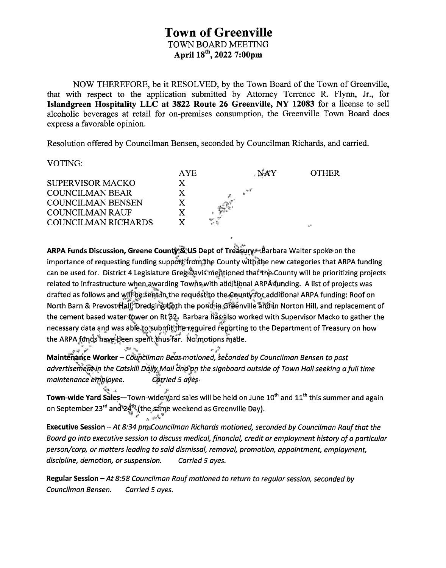NOW THEREFORE, be it RESOLVED, by the Town Board of the Town of Greenville, that with respect to the application submitted by Attorney Terrence R. Flynn, Jr., for **Islandgreen Hospitality LLC at 3822 Route 26 Greenville, NY 12083** for a license to sell alcoholic beverages at retail for on-premises consumption, the Greenville Town Board does express a favorable opinion.

Resolution offered by Councilman Bensen, seconded by Councilman Richards, and carried.

VOTING:

|                          | AYE | NAY                    | OTHER |
|--------------------------|-----|------------------------|-------|
| <b>SUPERVISOR MACKO</b>  |     |                        |       |
| <b>COUNCILMAN BEAR</b>   |     | ay ≹‴                  |       |
| <b>COUNCILMAN BENSEN</b> |     |                        |       |
| <b>COUNCILMAN RAUF</b>   |     |                        |       |
| COUNCILMAN RICHARDS      |     | 1940 1959<br>1970 1970 | 折     |
|                          |     |                        |       |

**ARPA Funds Discussion, Greene Coun\$\*jStU<5 Dept of Treasury,Hfiarbara Walter spok'fron the importance of requesting funding suppof|'frotpjhe County witbStbe new categories that ARPA funding** ■Vfib a, , **can be used for. District 4 Legislature Gregi<|avis rhe#ioned thatthpCounty will be prioritizing projects related to infrastructure when,awarding Towns with additional ARPAfunding. A list of projects was drafted as follows and he requ^sFfo the^oq,nt^fbr;addifional ARPA funding: Roof on North Barn & Prevost^aljj^redgingtjlojth the poridjin-Gfieenville Shdln Norton Hill, and replacement of the cement based waterf^wer on Rtfj^y Barbara fias;|lso worked with Supervisor Macko to gather the necessary data and was able|p('subrrt!i|!thp"r1eguired reporting to the Department of Treasury on how** the ARPA funds have been spent thus far. No motions made.

*jr\*f* **Maintenance Worker -** *Cduntilman Bern-motioned, seconded by Councilman Bensen to post advertiserhejBfcin the Catskill Daffy^Aaii ahcf^pn the signboard outside of Town Hall seeking afull time maintenance employee.* Carried 5  $a\bar{y}e_{\bar{y}}$ 

**Town-wide Yard Sales—Town-wide:?\$ard sales will be held on June 10th and 11th this summer and again on September 23rd anch&HJthe***Sscn^* **weekend as Greenville Day).** W > \* *<sup>X</sup> '*

**Executive Session** *-At 8:34 pmsCouncilman Richards motioned, seconded by Councilman Rauf that the Board go into executive session to discuss medical, financial, credit or employment history ofa particular person/corp, or matters leading to said dismissal, removal, promotion, appointment, employment, discipline, demotion, or suspension. Carried 5 ayes.*

**Regular Session** *-At 8:58 Councilman Raufmotioned to return to regular session, seconded by Councilman Bensen. Carried 5 ayes.*